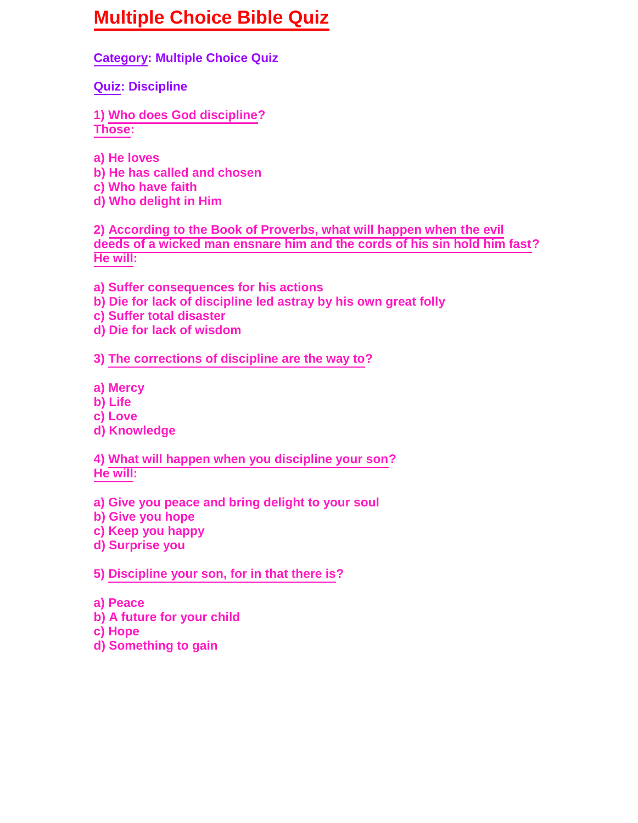## **Multiple Choice Bible Quiz**

**Category: Multiple Choice Quiz**

**Quiz: Discipline**

**1) Who does God discipline? Those:**

- **a) He loves**
- **b) He has called and chosen**
- **c) Who have faith**
- **d) Who delight in Him**

**2) According to the Book of Proverbs, what will happen when the evil deeds of a wicked man ensnare him and the cords of his sin hold him fast? He will:**

**a) Suffer consequences for his actions**

- **b) Die for lack of discipline led astray by his own great folly**
- **c) Suffer total disaster**
- **d) Die for lack of wisdom**

## **3) The corrections of discipline are the way to?**

**a) Mercy**

- **b) Life**
- **c) Love**
- **d) Knowledge**

**4) What will happen when you discipline your son? He will:**

**a) Give you peace and bring delight to your soul**

- **b) Give you hope**
- **c) Keep you happy**
- **d) Surprise you**

**5) Discipline your son, for in that there is?**

- **a) Peace**
- **b) A future for your child**
- **c) Hope**
- **d) Something to gain**